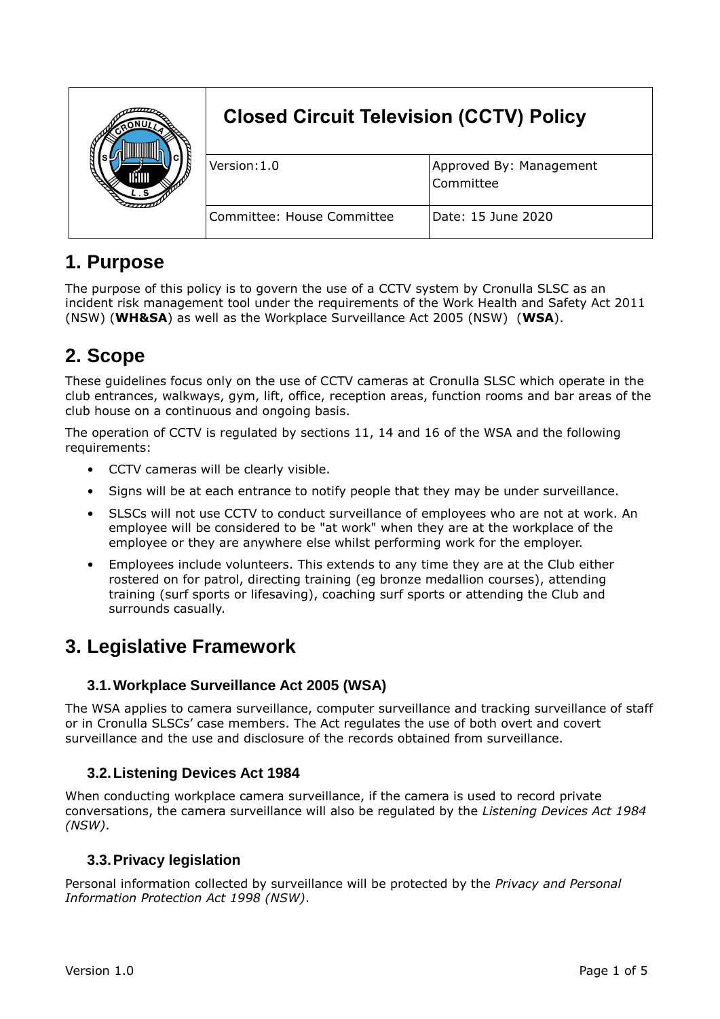|  | <b>Closed Circuit Television (CCTV) Policy</b> |                                      |
|--|------------------------------------------------|--------------------------------------|
|  | Version:1.0                                    | Approved By: Management<br>Committee |
|  | Committee: House Committee                     | Date: 15 June 2020                   |

## **1. Purpose**

The purpose of this policy is to govern the use of a CCTV system by Cronulla SLSC as an incident risk management tool under the requirements of the Work Health and Safety Act 2011 (NSW) (**WH&SA**) as well as the Workplace Surveillance Act 2005 (NSW) (**WSA**).

# **2. Scope**

These guidelines focus only on the use of CCTV cameras at Cronulla SLSC which operate in the club entrances, walkways, gym, lift, office, reception areas, function rooms and bar areas of the club house on a continuous and ongoing basis.

The operation of CCTV is regulated by sections 11, 14 and 16 of the WSA and the following requirements:

- CCTV cameras will be clearly visible.
- Signs will be at each entrance to notify people that they may be under surveillance.
- SLSCs will not use CCTV to conduct surveillance of employees who are not at work. An employee will be considered to be "at work" when they are at the workplace of the employee or they are anywhere else whilst performing work for the employer.
- Employees include volunteers. This extends to any time they are at the Club either rostered on for patrol, directing training (eg bronze medallion courses), attending training (surf sports or lifesaving), coaching surf sports or attending the Club and surrounds casually.

## **3. Legislative Framework**

#### **3.1.Workplace Surveillance Act 2005 (WSA)**

The WSA applies to camera surveillance, computer surveillance and tracking surveillance of staff or in Cronulla SLSCs' case members. The Act regulates the use of both overt and covert surveillance and the use and disclosure of the records obtained from surveillance.

#### **3.2.Listening Devices Act 1984**

When conducting workplace camera surveillance, if the camera is used to record private conversations, the camera surveillance will also be regulated by the *Listening Devices Act 1984 (NSW)*.

#### **3.3.Privacy legislation**

Personal information collected by surveillance will be protected by the *Privacy and Personal Information Protection Act 1998 (NSW)*.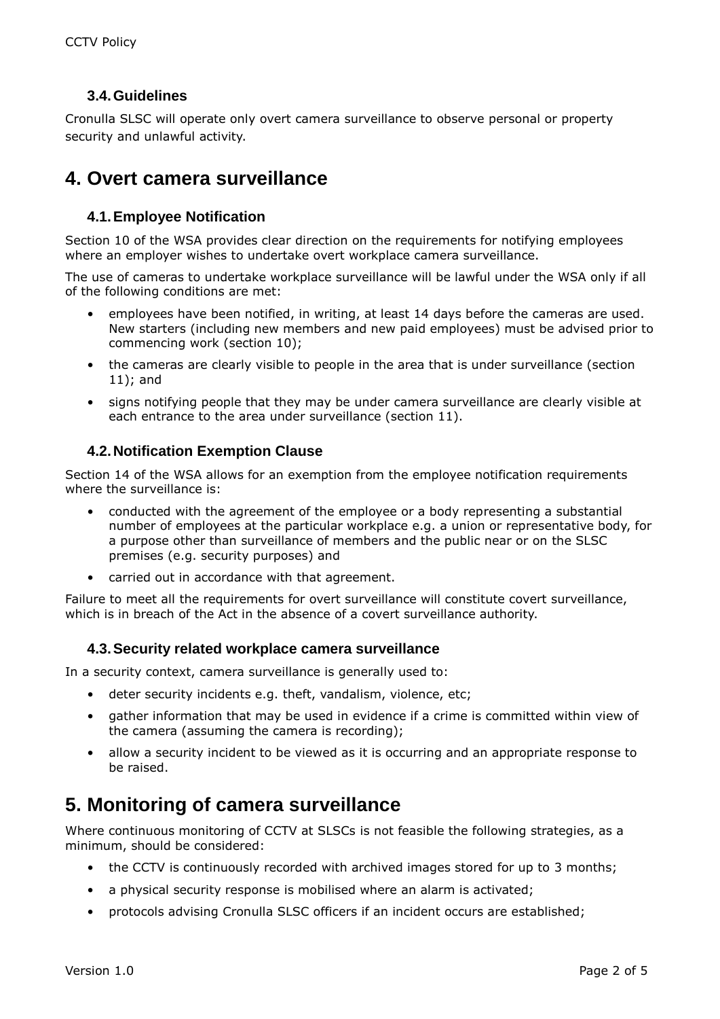#### **3.4.Guidelines**

Cronulla SLSC will operate only overt camera surveillance to observe personal or property security and unlawful activity.

### **4. Overt camera surveillance**

#### **4.1.Employee Notification**

Section 10 of the WSA provides clear direction on the requirements for notifying employees where an employer wishes to undertake overt workplace camera surveillance.

The use of cameras to undertake workplace surveillance will be lawful under the WSA only if all of the following conditions are met:

- employees have been notified, in writing, at least 14 days before the cameras are used. New starters (including new members and new paid employees) must be advised prior to commencing work (section 10);
- the cameras are clearly visible to people in the area that is under surveillance (section 11); and
- signs notifying people that they may be under camera surveillance are clearly visible at each entrance to the area under surveillance (section 11).

#### **4.2.Notification Exemption Clause**

Section 14 of the WSA allows for an exemption from the employee notification requirements where the surveillance is:

- conducted with the agreement of the employee or a body representing a substantial number of employees at the particular workplace e.g. a union or representative body, for a purpose other than surveillance of members and the public near or on the SLSC premises (e.g. security purposes) and
- carried out in accordance with that agreement.

Failure to meet all the requirements for overt surveillance will constitute covert surveillance, which is in breach of the Act in the absence of a covert surveillance authority.

#### **4.3.Security related workplace camera surveillance**

In a security context, camera surveillance is generally used to:

- deter security incidents e.g. theft, vandalism, violence, etc;
- gather information that may be used in evidence if a crime is committed within view of the camera (assuming the camera is recording);
- allow a security incident to be viewed as it is occurring and an appropriate response to be raised.

## **5. Monitoring of camera surveillance**

Where continuous monitoring of CCTV at SLSCs is not feasible the following strategies, as a minimum, should be considered:

- the CCTV is continuously recorded with archived images stored for up to 3 months;
- a physical security response is mobilised where an alarm is activated:
- protocols advising Cronulla SLSC officers if an incident occurs are established;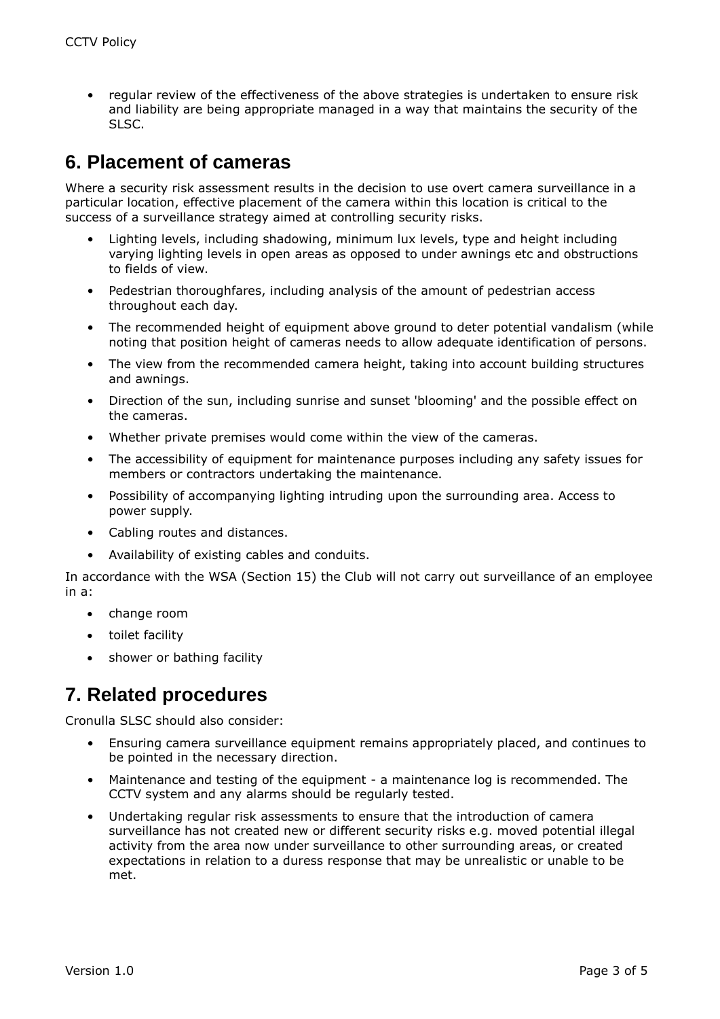• regular review of the effectiveness of the above strategies is undertaken to ensure risk and liability are being appropriate managed in a way that maintains the security of the SLSC.

### **6. Placement of cameras**

Where a security risk assessment results in the decision to use overt camera surveillance in a particular location, effective placement of the camera within this location is critical to the success of a surveillance strategy aimed at controlling security risks.

- Lighting levels, including shadowing, minimum lux levels, type and height including varying lighting levels in open areas as opposed to under awnings etc and obstructions to fields of view.
- Pedestrian thoroughfares, including analysis of the amount of pedestrian access throughout each day.
- The recommended height of equipment above ground to deter potential vandalism (while noting that position height of cameras needs to allow adequate identification of persons.
- The view from the recommended camera height, taking into account building structures and awnings.
- Direction of the sun, including sunrise and sunset 'blooming' and the possible effect on the cameras.
- Whether private premises would come within the view of the cameras.
- The accessibility of equipment for maintenance purposes including any safety issues for members or contractors undertaking the maintenance.
- Possibility of accompanying lighting intruding upon the surrounding area. Access to power supply.
- Cabling routes and distances.
- Availability of existing cables and conduits.

In accordance with the WSA (Section 15) the Club will not carry out surveillance of an employee in a:

- change room
- toilet facility
- shower or bathing facility

## **7. Related procedures**

Cronulla SLSC should also consider:

- Ensuring camera surveillance equipment remains appropriately placed, and continues to be pointed in the necessary direction.
- Maintenance and testing of the equipment a maintenance log is recommended. The CCTV system and any alarms should be regularly tested.
- Undertaking regular risk assessments to ensure that the introduction of camera surveillance has not created new or different security risks e.g. moved potential illegal activity from the area now under surveillance to other surrounding areas, or created expectations in relation to a duress response that may be unrealistic or unable to be met.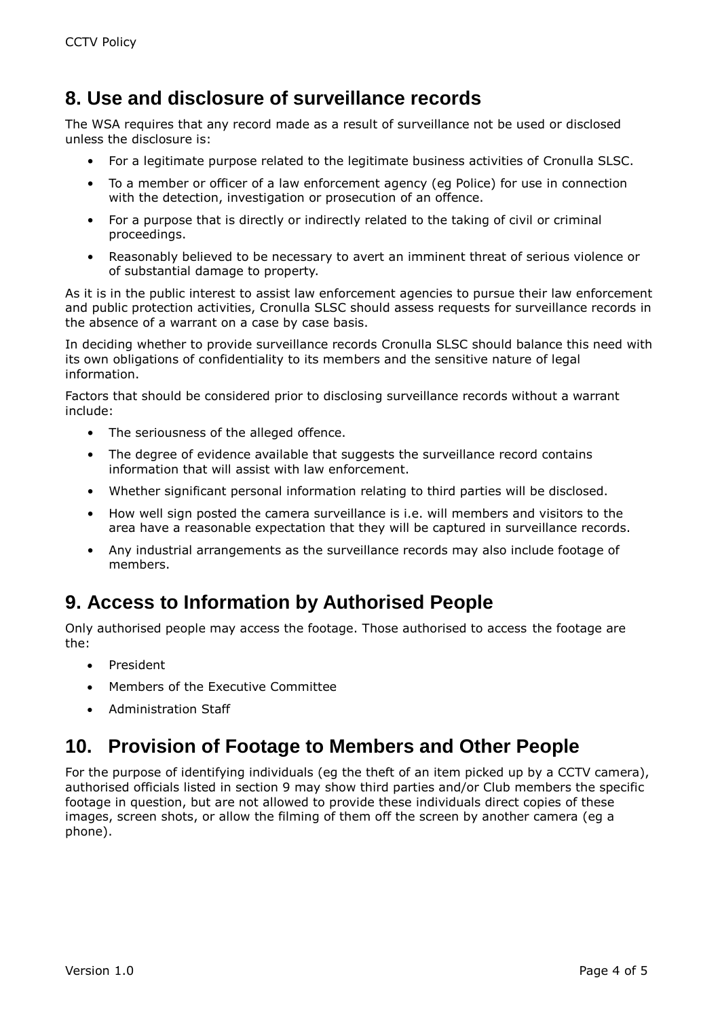## **8. Use and disclosure of surveillance records**

The WSA requires that any record made as a result of surveillance not be used or disclosed unless the disclosure is:

- For a legitimate purpose related to the legitimate business activities of Cronulla SLSC.
- To a member or officer of a law enforcement agency (eg Police) for use in connection with the detection, investigation or prosecution of an offence.
- For a purpose that is directly or indirectly related to the taking of civil or criminal proceedings.
- Reasonably believed to be necessary to avert an imminent threat of serious violence or of substantial damage to property.

As it is in the public interest to assist law enforcement agencies to pursue their law enforcement and public protection activities, Cronulla SLSC should assess requests for surveillance records in the absence of a warrant on a case by case basis.

In deciding whether to provide surveillance records Cronulla SLSC should balance this need with its own obligations of confidentiality to its members and the sensitive nature of legal information.

Factors that should be considered prior to disclosing surveillance records without a warrant include:

- The seriousness of the alleged offence.
- The degree of evidence available that suggests the surveillance record contains information that will assist with law enforcement.
- Whether significant personal information relating to third parties will be disclosed.
- How well sign posted the camera surveillance is i.e. will members and visitors to the area have a reasonable expectation that they will be captured in surveillance records.
- Any industrial arrangements as the surveillance records may also include footage of members.

## **9. Access to Information by Authorised People**

Only authorised people may access the footage. Those authorised to access the footage are the:

- President
- Members of the Executive Committee
- Administration Staff

## **10. Provision of Footage to Members and Other People**

For the purpose of identifying individuals (eg the theft of an item picked up by a CCTV camera), authorised officials listed in section 9 may show third parties and/or Club members the specific footage in question, but are not allowed to provide these individuals direct copies of these images, screen shots, or allow the filming of them off the screen by another camera (eg a phone).